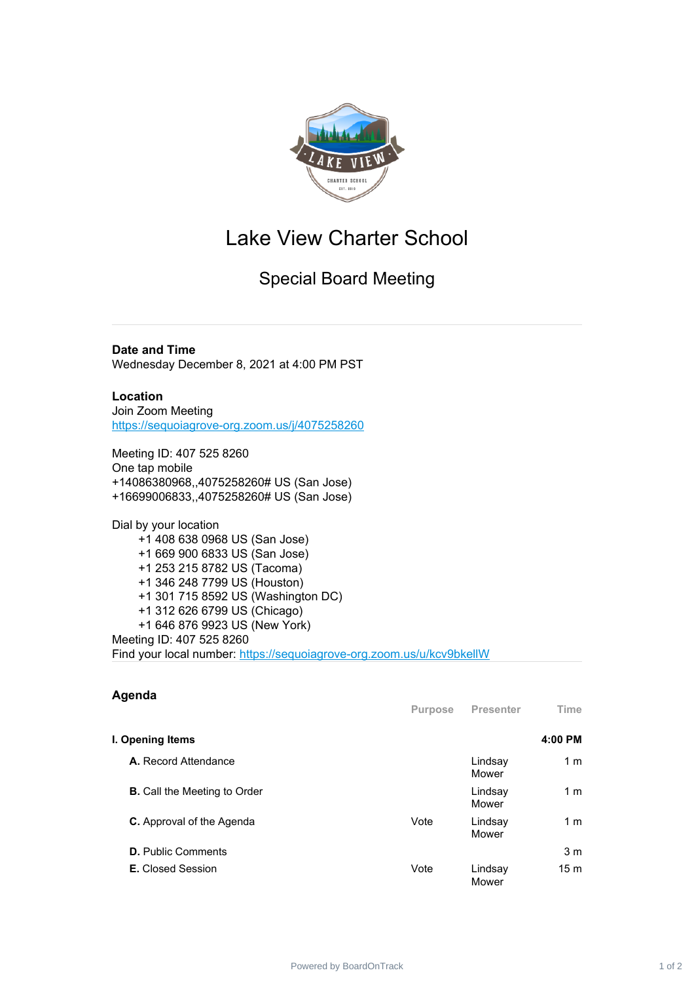

## Lake View Charter School

Special Board Meeting

**Date and Time** Wednesday December 8, 2021 at 4:00 PM PST

## **Location**

Join Zoom Meeting [https://sequoiagrove-org.zoom.us/j/4075258260](https://www.google.com/url?q=https://sequoiagrove-org.zoom.us/j/4075258260&sa=D&source=calendar&ust=1635092054101858&usg=AOvVaw2R7TmmfkcxJMzI_X4ALB1C)

Meeting ID: 407 525 8260 One tap mobile +14086380968,,4075258260# US (San Jose) +16699006833,,4075258260# US (San Jose)

Dial by your location +1 408 638 0968 US (San Jose) +1 669 900 6833 US (San Jose) +1 253 215 8782 US (Tacoma) +1 346 248 7799 US (Houston) +1 301 715 8592 US (Washington DC) +1 312 626 6799 US (Chicago) +1 646 876 9923 US (New York) Meeting ID: 407 525 8260 Find your local number: [https://sequoiagrove-org.zoom.us/u/kcv9bkellW](https://www.google.com/url?q=https://sequoiagrove-org.zoom.us/u/kcv9bkellW&sa=D&source=calendar&ust=1635092054101858&usg=AOvVaw3NirWxO5fYt1EagoKLbI_V)

| Agenda                              | <b>Purpose</b> | Presenter        | Time            |
|-------------------------------------|----------------|------------------|-----------------|
| I. Opening Items                    |                |                  | 4:00 PM         |
| A. Record Attendance                |                | Lindsay<br>Mower | 1 <sub>m</sub>  |
| <b>B.</b> Call the Meeting to Order |                | Lindsay<br>Mower | 1 <sub>m</sub>  |
| <b>C.</b> Approval of the Agenda    | Vote           | Lindsay<br>Mower | 1 <sub>m</sub>  |
| <b>D.</b> Public Comments           |                |                  | 3 <sub>m</sub>  |
| <b>E.</b> Closed Session            | Vote           | Lindsay<br>Mower | 15 <sub>m</sub> |